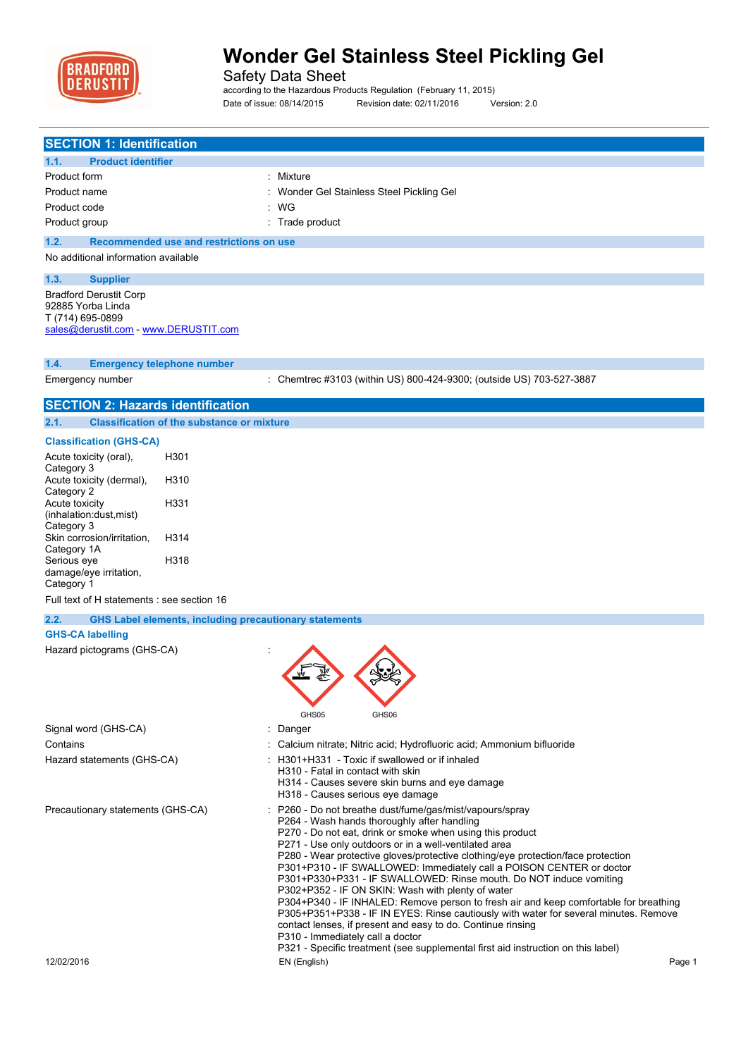

Safety Data Sheet

according to the Hazardous Products Regulation (February 11, 2015) Date of issue: 08/14/2015 Revision date: 02/11/2016 Version: 2.0

| <b>SECTION 1: Identification</b>                                      |                                                                                                                                                     |
|-----------------------------------------------------------------------|-----------------------------------------------------------------------------------------------------------------------------------------------------|
| <b>Product identifier</b><br>1.1.                                     |                                                                                                                                                     |
| Product form                                                          | : Mixture                                                                                                                                           |
| Product name                                                          | Wonder Gel Stainless Steel Pickling Gel                                                                                                             |
| Product code                                                          | : WG                                                                                                                                                |
| Product group                                                         | : Trade product                                                                                                                                     |
| 1.2.<br>Recommended use and restrictions on use                       |                                                                                                                                                     |
| No additional information available                                   |                                                                                                                                                     |
| 1.3.<br><b>Supplier</b>                                               |                                                                                                                                                     |
| <b>Bradford Derustit Corp</b>                                         |                                                                                                                                                     |
| 92885 Yorba Linda<br>T (714) 695-0899                                 |                                                                                                                                                     |
| sales@derustit.com - www.DERUSTIT.com                                 |                                                                                                                                                     |
|                                                                       |                                                                                                                                                     |
| 1.4.<br><b>Emergency telephone number</b>                             |                                                                                                                                                     |
| Emergency number                                                      | : Chemtrec #3103 (within US) 800-424-9300; (outside US) 703-527-3887                                                                                |
|                                                                       |                                                                                                                                                     |
| <b>SECTION 2: Hazards identification</b>                              |                                                                                                                                                     |
| 2.1.<br><b>Classification of the substance or mixture</b>             |                                                                                                                                                     |
| <b>Classification (GHS-CA)</b>                                        |                                                                                                                                                     |
| H301<br>Acute toxicity (oral),                                        |                                                                                                                                                     |
| Category 3<br>H310<br>Acute toxicity (dermal),                        |                                                                                                                                                     |
| Category 2                                                            |                                                                                                                                                     |
| Acute toxicity<br>H331<br>(inhalation:dust, mist)                     |                                                                                                                                                     |
| Category 3                                                            |                                                                                                                                                     |
| H314<br>Skin corrosion/irritation,                                    |                                                                                                                                                     |
| Category 1A<br>H318<br>Serious eye                                    |                                                                                                                                                     |
| damage/eye irritation,                                                |                                                                                                                                                     |
| Category 1                                                            |                                                                                                                                                     |
| Full text of H statements : see section 16                            |                                                                                                                                                     |
| 2.2.<br><b>GHS Label elements, including precautionary statements</b> |                                                                                                                                                     |
| <b>GHS-CA labelling</b>                                               |                                                                                                                                                     |
| Hazard pictograms (GHS-CA)                                            |                                                                                                                                                     |
|                                                                       |                                                                                                                                                     |
|                                                                       |                                                                                                                                                     |
|                                                                       |                                                                                                                                                     |
| Signal word (GHS-CA)                                                  | GHS05<br>GHS06<br>t.                                                                                                                                |
| Contains                                                              | Danger<br>: Calcium nitrate; Nitric acid; Hydrofluoric acid; Ammonium bifluoride                                                                    |
| Hazard statements (GHS-CA)                                            | : H301+H331 - Toxic if swallowed or if inhaled                                                                                                      |
|                                                                       | H310 - Fatal in contact with skin                                                                                                                   |
|                                                                       | H314 - Causes severe skin burns and eye damage                                                                                                      |
| Precautionary statements (GHS-CA)                                     | H318 - Causes serious eye damage<br>P260 - Do not breathe dust/fume/gas/mist/vapours/spray                                                          |
|                                                                       | P264 - Wash hands thoroughly after handling                                                                                                         |
|                                                                       | P270 - Do not eat, drink or smoke when using this product                                                                                           |
|                                                                       | P271 - Use only outdoors or in a well-ventilated area<br>P280 - Wear protective gloves/protective clothing/eye protection/face protection           |
|                                                                       | P301+P310 - IF SWALLOWED: Immediately call a POISON CENTER or doctor                                                                                |
|                                                                       | P301+P330+P331 - IF SWALLOWED: Rinse mouth. Do NOT induce vomiting<br>P302+P352 - IF ON SKIN: Wash with plenty of water                             |
|                                                                       | P304+P340 - IF INHALED: Remove person to fresh air and keep comfortable for breathing                                                               |
|                                                                       | P305+P351+P338 - IF IN EYES: Rinse cautiously with water for several minutes. Remove<br>contact lenses, if present and easy to do. Continue rinsing |
|                                                                       | P310 - Immediately call a doctor                                                                                                                    |
|                                                                       | P321 - Specific treatment (see supplemental first aid instruction on this label)                                                                    |
| 12/02/2016                                                            | EN (English)<br>Page 1                                                                                                                              |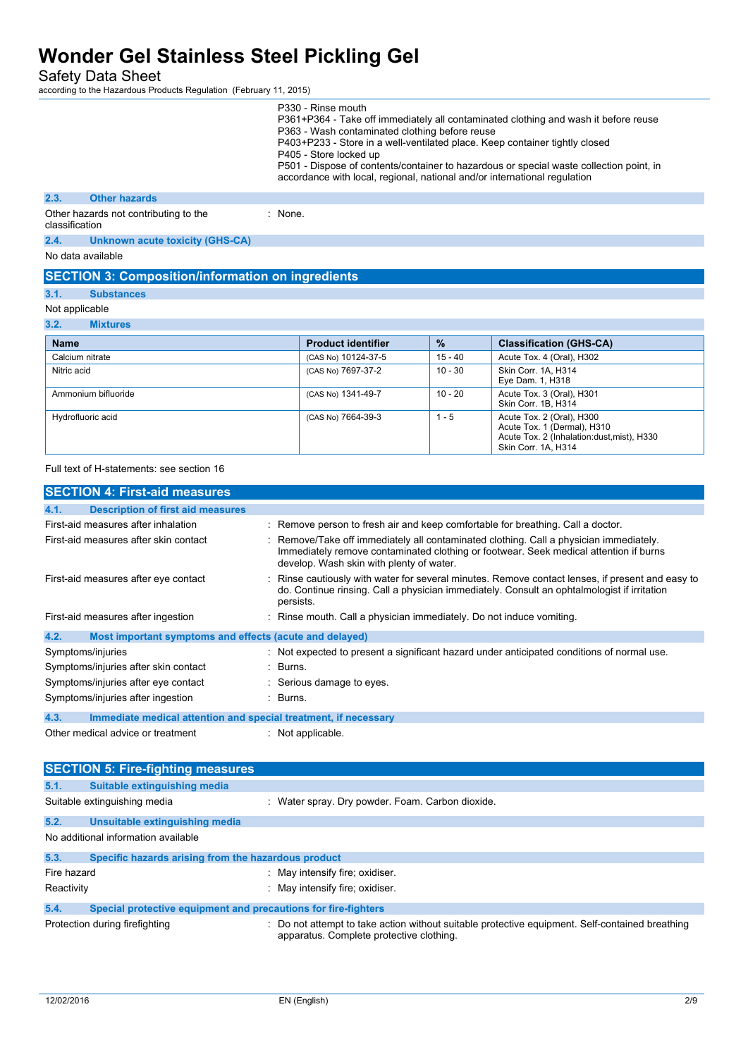Safety Data Sheet

according to the Hazardous Products Regulation (February 11, 2015)

|                |                                                          |           | P330 - Rinse mouth<br>P363 - Wash contaminated clothing before reuse<br>P405 - Store locked up<br>accordance with local, regional, national and/or international regulation |               | P361+P364 - Take off immediately all contaminated clothing and wash it before reuse<br>P403+P233 - Store in a well-ventilated place. Keep container tightly closed<br>P501 - Dispose of contents/container to hazardous or special waste collection point, in |
|----------------|----------------------------------------------------------|-----------|-----------------------------------------------------------------------------------------------------------------------------------------------------------------------------|---------------|---------------------------------------------------------------------------------------------------------------------------------------------------------------------------------------------------------------------------------------------------------------|
| 2.3.           | <b>Other hazards</b>                                     |           |                                                                                                                                                                             |               |                                                                                                                                                                                                                                                               |
| classification | Other hazards not contributing to the                    | $:$ None. |                                                                                                                                                                             |               |                                                                                                                                                                                                                                                               |
| 2.4.           | <b>Unknown acute toxicity (GHS-CA)</b>                   |           |                                                                                                                                                                             |               |                                                                                                                                                                                                                                                               |
|                | No data available                                        |           |                                                                                                                                                                             |               |                                                                                                                                                                                                                                                               |
|                | <b>SECTION 3: Composition/information on ingredients</b> |           |                                                                                                                                                                             |               |                                                                                                                                                                                                                                                               |
| 3.1.           | <b>Substances</b>                                        |           |                                                                                                                                                                             |               |                                                                                                                                                                                                                                                               |
|                | Not applicable                                           |           |                                                                                                                                                                             |               |                                                                                                                                                                                                                                                               |
| 3.2.           | <b>Mixtures</b>                                          |           |                                                                                                                                                                             |               |                                                                                                                                                                                                                                                               |
| <b>Name</b>    |                                                          |           | <b>Product identifier</b>                                                                                                                                                   | $\frac{9}{6}$ | <b>Classification (GHS-CA)</b>                                                                                                                                                                                                                                |
|                | Calcium nitrate                                          |           | (CAS No) 10124-37-5                                                                                                                                                         | $15 - 40$     | Acute Tox. 4 (Oral), H302                                                                                                                                                                                                                                     |
| Nitric acid    |                                                          |           | (CAS No) 7697-37-2                                                                                                                                                          | $10 - 30$     | Skin Corr. 1A. H314<br>Eye Dam. 1, H318                                                                                                                                                                                                                       |
|                | Ammonium bifluoride                                      |           | (CAS No) 1341-49-7                                                                                                                                                          | $10 - 20$     | Acute Tox. 3 (Oral), H301<br>Skin Corr. 1B, H314                                                                                                                                                                                                              |
|                | Hydrofluoric acid                                        |           | (CAS No) 7664-39-3                                                                                                                                                          | $1 - 5$       | Acute Tox. 2 (Oral), H300<br>Acute Tox. 1 (Dermal), H310                                                                                                                                                                                                      |

Full text of H-statements: see section 16

| <b>SECTION 4: First-aid measures</b>                                    |                                                                                                                                                                                                                           |
|-------------------------------------------------------------------------|---------------------------------------------------------------------------------------------------------------------------------------------------------------------------------------------------------------------------|
| 4.1.<br><b>Description of first aid measures</b>                        |                                                                                                                                                                                                                           |
| First-aid measures after inhalation                                     | : Remove person to fresh air and keep comfortable for breathing. Call a doctor.                                                                                                                                           |
| First-aid measures after skin contact                                   | Remove/Take off immediately all contaminated clothing. Call a physician immediately.<br>Immediately remove contaminated clothing or footwear. Seek medical attention if burns<br>develop. Wash skin with plenty of water. |
| First-aid measures after eye contact                                    | Rinse cautiously with water for several minutes. Remove contact lenses, if present and easy to<br>do. Continue rinsing. Call a physician immediately. Consult an ophtalmologist if irritation<br>persists.                |
| First-aid measures after ingestion                                      | Rinse mouth. Call a physician immediately. Do not induce vomiting.                                                                                                                                                        |
| 4.2.<br>Most important symptoms and effects (acute and delayed)         |                                                                                                                                                                                                                           |
| Symptoms/injuries                                                       | : Not expected to present a significant hazard under anticipated conditions of normal use.                                                                                                                                |
| Symptoms/injuries after skin contact                                    | : Burns.                                                                                                                                                                                                                  |
| Symptoms/injuries after eye contact                                     | : Serious damage to eyes.                                                                                                                                                                                                 |
| Symptoms/injuries after ingestion                                       | : Burns.                                                                                                                                                                                                                  |
| 4.3.<br>Immediate medical attention and special treatment, if necessary |                                                                                                                                                                                                                           |
| Other medical advice or treatment                                       | $\therefore$ Not applicable.                                                                                                                                                                                              |

|             | <b>SECTION 5: Fire-fighting measures</b>                       |                                                                                                                                             |
|-------------|----------------------------------------------------------------|---------------------------------------------------------------------------------------------------------------------------------------------|
| 5.1.        | Suitable extinguishing media                                   |                                                                                                                                             |
|             | Suitable extinguishing media                                   | : Water spray. Dry powder. Foam. Carbon dioxide.                                                                                            |
| 5.2.        | Unsuitable extinguishing media                                 |                                                                                                                                             |
|             | No additional information available                            |                                                                                                                                             |
| 5.3.        | Specific hazards arising from the hazardous product            |                                                                                                                                             |
| Fire hazard |                                                                | : May intensify fire; oxidiser.                                                                                                             |
| Reactivity  |                                                                | : May intensify fire; oxidiser.                                                                                                             |
| 5.4.        | Special protective equipment and precautions for fire-fighters |                                                                                                                                             |
|             | Protection during firefighting                                 | : Do not attempt to take action without suitable protective equipment. Self-contained breathing<br>apparatus. Complete protective clothing. |

Acute Tox. 2 (Inhalation:dust,mist), H330

Skin Corr. 1A, H314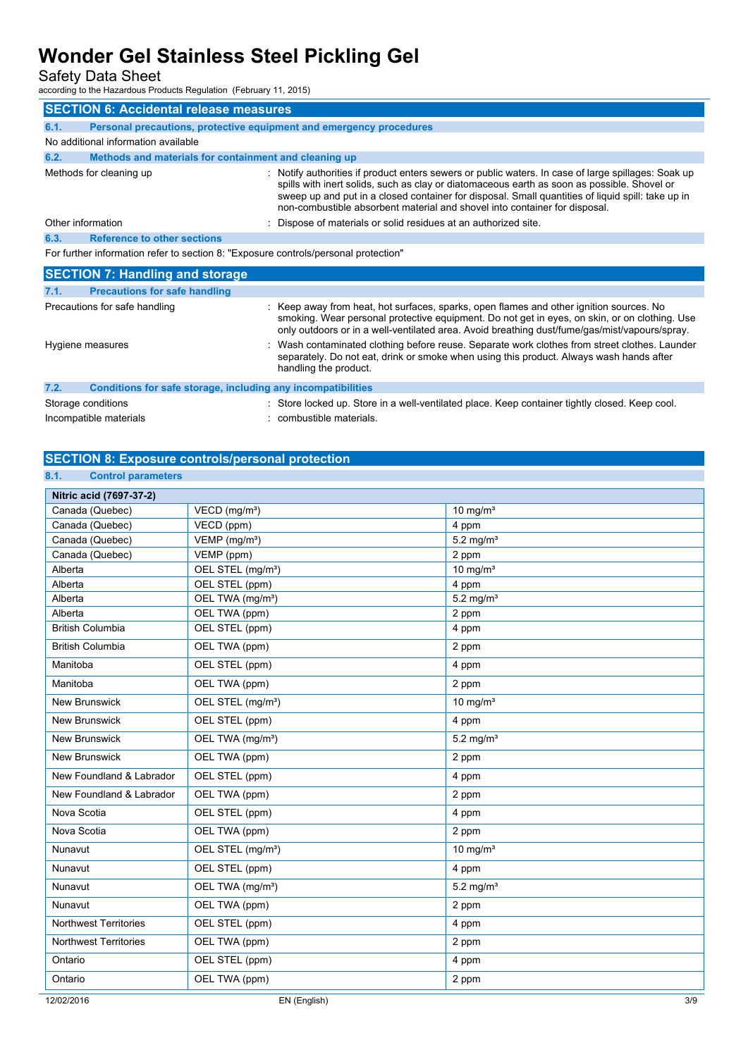Safety Data Sheet

according to the Hazardous Products Regulation (February 11, 2015)

|                                                                                     | <b>SECTION 6: Accidental release measures</b>                       |                                                                                                                                                                                                                                                                                                                                                                                     |  |
|-------------------------------------------------------------------------------------|---------------------------------------------------------------------|-------------------------------------------------------------------------------------------------------------------------------------------------------------------------------------------------------------------------------------------------------------------------------------------------------------------------------------------------------------------------------------|--|
| 6.1.                                                                                | Personal precautions, protective equipment and emergency procedures |                                                                                                                                                                                                                                                                                                                                                                                     |  |
|                                                                                     | No additional information available                                 |                                                                                                                                                                                                                                                                                                                                                                                     |  |
| 6.2.                                                                                | Methods and materials for containment and cleaning up               |                                                                                                                                                                                                                                                                                                                                                                                     |  |
|                                                                                     | Methods for cleaning up                                             | Notify authorities if product enters sewers or public waters. In case of large spillages: Soak up<br>spills with inert solids, such as clay or diatomaceous earth as soon as possible. Shovel or<br>sweep up and put in a closed container for disposal. Small quantities of liquid spill: take up in<br>non-combustible absorbent material and shovel into container for disposal. |  |
|                                                                                     | Other information                                                   | : Dispose of materials or solid residues at an authorized site.                                                                                                                                                                                                                                                                                                                     |  |
| 6.3.                                                                                | <b>Reference to other sections</b>                                  |                                                                                                                                                                                                                                                                                                                                                                                     |  |
| For further information refer to section 8: "Exposure controls/personal protection" |                                                                     |                                                                                                                                                                                                                                                                                                                                                                                     |  |
|                                                                                     | <b>SECTION 7: Handling and storage</b>                              |                                                                                                                                                                                                                                                                                                                                                                                     |  |
| 7.1.                                                                                | <b>Precautions for safe handling</b>                                |                                                                                                                                                                                                                                                                                                                                                                                     |  |
|                                                                                     | Precautions for safe handling                                       | : Keep away from heat, hot surfaces, sparks, open flames and other ignition sources. No<br>smoking. Wear personal protective equipment. Do not get in eyes, on skin, or on clothing. Use<br>only outdoors or in a well-ventilated area. Avoid breathing dust/fume/gas/mist/vapours/spray.                                                                                           |  |

|      | Hygiene measures                                             | Wash contaminated clothing before reuse. Separate work clothes from street clothes. Launder<br>separately. Do not eat, drink or smoke when using this product. Always wash hands after<br>handling the product. |
|------|--------------------------------------------------------------|-----------------------------------------------------------------------------------------------------------------------------------------------------------------------------------------------------------------|
| 7.2. | Conditions for safe storage, including any incompatibilities |                                                                                                                                                                                                                 |
|      | Storage conditions                                           | Store locked up. Store in a well-ventilated place. Keep container tightly closed. Keep cool.                                                                                                                    |

#### **SECTION 8: Exposure controls/personal protection**

Incompatible materials **incompatible materials** : combustible materials.

| 8.1.<br><b>Control parameters</b>  |                               |                         |
|------------------------------------|-------------------------------|-------------------------|
| Nitric acid (7697-37-2)            |                               |                         |
| Canada (Quebec)                    | VECD (mg/m <sup>3</sup> )     | 10 mg/ $m3$             |
| Canada (Quebec)                    | VECD (ppm)                    | 4 ppm                   |
| Canada (Quebec)                    | VEMP (mg/m <sup>3</sup> )     | $5.2$ mg/m <sup>3</sup> |
| Canada (Quebec)                    | VEMP (ppm)                    | 2 ppm                   |
| Alberta                            | OEL STEL (mg/m <sup>3</sup> ) | $10 \text{ mg/m}^3$     |
| Alberta                            | OEL STEL (ppm)                | 4 ppm                   |
| Alberta                            | OEL TWA (mg/m <sup>3</sup> )  | $5.2$ mg/m <sup>3</sup> |
| Alberta<br><b>British Columbia</b> | OEL TWA (ppm)                 | 2 ppm                   |
|                                    | OEL STEL (ppm)                | 4 ppm                   |
| <b>British Columbia</b>            | OEL TWA (ppm)                 | 2 ppm                   |
| Manitoba                           | OEL STEL (ppm)                | 4 ppm                   |
| Manitoba                           | OEL TWA (ppm)                 | 2 ppm                   |
| <b>New Brunswick</b>               | OEL STEL (mg/m <sup>3</sup> ) | $10 \text{ mg/m}^3$     |
| New Brunswick                      | OEL STEL (ppm)                | 4 ppm                   |
| <b>New Brunswick</b>               | OEL TWA (mg/m <sup>3</sup> )  | $5.2$ mg/m <sup>3</sup> |
| <b>New Brunswick</b>               | OEL TWA (ppm)                 | 2 ppm                   |
| New Foundland & Labrador           | OEL STEL (ppm)                | 4 ppm                   |
| New Foundland & Labrador           | OEL TWA (ppm)                 | 2 ppm                   |
| Nova Scotia                        | OEL STEL (ppm)                | 4 ppm                   |
| Nova Scotia                        | OEL TWA (ppm)                 | 2 ppm                   |
| Nunavut                            | OEL STEL (mg/m <sup>3</sup> ) | 10 mg/ $m3$             |
| Nunavut                            | OEL STEL (ppm)                | 4 ppm                   |
| Nunavut                            | OEL TWA (mg/m <sup>3</sup> )  | $5.2$ mg/m <sup>3</sup> |
| Nunavut                            | OEL TWA (ppm)                 | 2 ppm                   |
| <b>Northwest Territories</b>       | OEL STEL (ppm)                | 4 ppm                   |
| <b>Northwest Territories</b>       | OEL TWA (ppm)                 | 2 ppm                   |
| Ontario                            | OEL STEL (ppm)                | 4 ppm                   |
| Ontario                            | OEL TWA (ppm)                 | 2 ppm                   |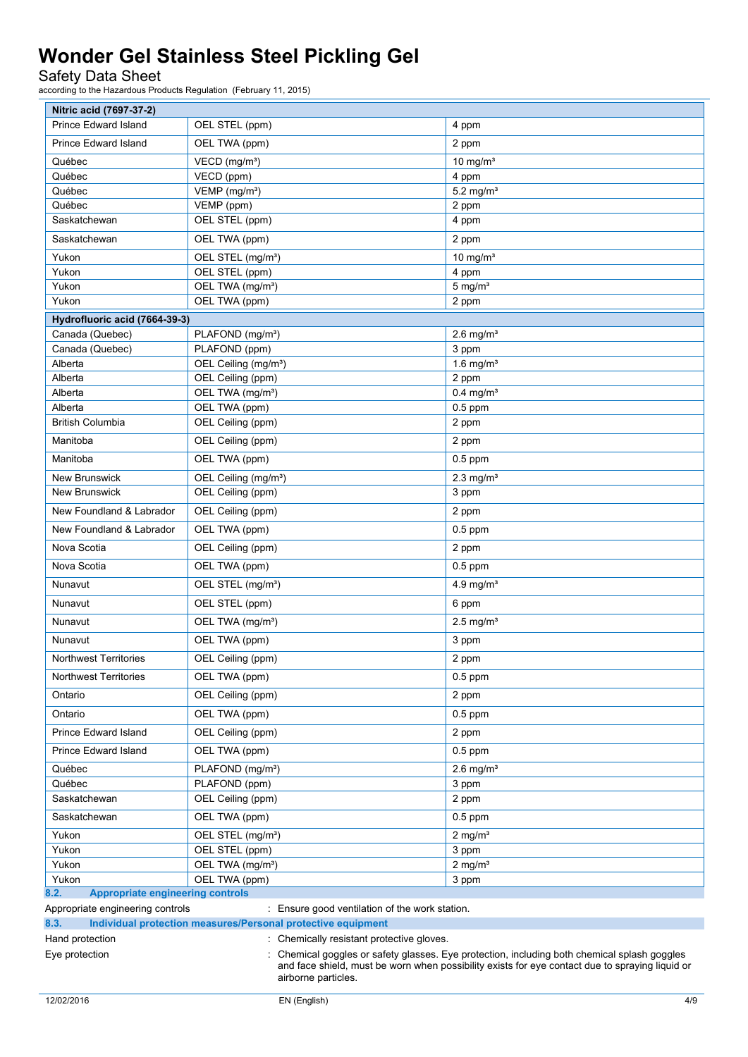Safety Data Sheet

| Nitric acid (7697-37-2)                                              |                                                |                                                                                                                                                                                               |  |  |
|----------------------------------------------------------------------|------------------------------------------------|-----------------------------------------------------------------------------------------------------------------------------------------------------------------------------------------------|--|--|
| Prince Edward Island                                                 | OEL STEL (ppm)                                 | 4 ppm                                                                                                                                                                                         |  |  |
| Prince Edward Island                                                 | OEL TWA (ppm)                                  | 2 ppm                                                                                                                                                                                         |  |  |
| Québec                                                               | VECD (mg/m <sup>3</sup> )                      | 10 mg/ $m3$                                                                                                                                                                                   |  |  |
| Québec                                                               | VECD (ppm)                                     | 4 ppm                                                                                                                                                                                         |  |  |
| Québec                                                               | VEMP (mg/m <sup>3</sup> )                      | $5.2$ mg/m <sup>3</sup>                                                                                                                                                                       |  |  |
| Québec                                                               | VEMP (ppm)                                     | 2 ppm                                                                                                                                                                                         |  |  |
| Saskatchewan                                                         | OEL STEL (ppm)                                 | 4 ppm                                                                                                                                                                                         |  |  |
| Saskatchewan                                                         | OEL TWA (ppm)                                  | 2 ppm                                                                                                                                                                                         |  |  |
| Yukon                                                                | OEL STEL (mg/m <sup>3</sup> )                  | $10 \text{ mg/m}^3$                                                                                                                                                                           |  |  |
| Yukon                                                                | OEL STEL (ppm)                                 | 4 ppm                                                                                                                                                                                         |  |  |
| Yukon                                                                | OEL TWA (mg/m <sup>3</sup> )                   | $5 \text{ mg/m}^3$                                                                                                                                                                            |  |  |
| Yukon                                                                | OEL TWA (ppm)                                  | 2 ppm                                                                                                                                                                                         |  |  |
| Hydrofluoric acid (7664-39-3)                                        |                                                |                                                                                                                                                                                               |  |  |
| Canada (Quebec)                                                      | PLAFOND (mg/m <sup>3</sup> )                   | $2.6$ mg/m <sup>3</sup>                                                                                                                                                                       |  |  |
| Canada (Quebec)                                                      | PLAFOND (ppm)                                  | 3 ppm                                                                                                                                                                                         |  |  |
| Alberta                                                              | OEL Ceiling (mg/m <sup>3</sup> )               | 1.6 mg/ $m3$                                                                                                                                                                                  |  |  |
| Alberta                                                              | OEL Ceiling (ppm)                              | 2 ppm                                                                                                                                                                                         |  |  |
| Alberta                                                              | OEL TWA (mg/m <sup>3</sup> )                   | $0.4$ mg/m <sup>3</sup>                                                                                                                                                                       |  |  |
| Alberta                                                              | OEL TWA (ppm)                                  | $0.5$ ppm                                                                                                                                                                                     |  |  |
| <b>British Columbia</b>                                              | OEL Ceiling (ppm)                              | 2 ppm                                                                                                                                                                                         |  |  |
| Manitoba                                                             | OEL Ceiling (ppm)                              | 2 ppm                                                                                                                                                                                         |  |  |
| Manitoba                                                             | OEL TWA (ppm)                                  | $0.5$ ppm                                                                                                                                                                                     |  |  |
| <b>New Brunswick</b>                                                 | OEL Ceiling (mg/m <sup>3</sup> )               | 2.3 mg/ $m3$                                                                                                                                                                                  |  |  |
| New Brunswick                                                        | OEL Ceiling (ppm)                              | 3 ppm                                                                                                                                                                                         |  |  |
| New Foundland & Labrador                                             | OEL Ceiling (ppm)                              | 2 ppm                                                                                                                                                                                         |  |  |
| New Foundland & Labrador                                             | OEL TWA (ppm)                                  | $0.5$ ppm                                                                                                                                                                                     |  |  |
| Nova Scotia                                                          | OEL Ceiling (ppm)                              | 2 ppm                                                                                                                                                                                         |  |  |
| Nova Scotia                                                          | OEL TWA (ppm)                                  | $0.5$ ppm                                                                                                                                                                                     |  |  |
| Nunavut                                                              | OEL STEL (mg/m <sup>3</sup> )                  | 4.9 mg/ $m3$                                                                                                                                                                                  |  |  |
| Nunavut                                                              | OEL STEL (ppm)                                 | 6 ppm                                                                                                                                                                                         |  |  |
| Nunavut                                                              | OEL TWA (mg/m <sup>3</sup> )                   | $2.5$ mg/m <sup>3</sup>                                                                                                                                                                       |  |  |
| Nunavut                                                              | OEL TWA (ppm)                                  | 3 ppm                                                                                                                                                                                         |  |  |
| <b>Northwest Territories</b>                                         | OEL Ceiling (ppm)                              | 2 ppm                                                                                                                                                                                         |  |  |
| <b>Northwest Territories</b>                                         | OEL TWA (ppm)                                  | $0.5$ ppm                                                                                                                                                                                     |  |  |
| Ontario                                                              | OEL Ceiling (ppm)                              | 2 ppm                                                                                                                                                                                         |  |  |
| Ontario                                                              | OEL TWA (ppm)                                  | $0.5$ ppm                                                                                                                                                                                     |  |  |
| Prince Edward Island                                                 | OEL Ceiling (ppm)                              | 2 ppm                                                                                                                                                                                         |  |  |
| <b>Prince Edward Island</b>                                          | OEL TWA (ppm)                                  | $0.5$ ppm                                                                                                                                                                                     |  |  |
| Québec                                                               | PLAFOND (mg/m <sup>3</sup> )                   | $2.6$ mg/m <sup>3</sup>                                                                                                                                                                       |  |  |
| Québec                                                               | PLAFOND (ppm)                                  | 3 ppm                                                                                                                                                                                         |  |  |
| Saskatchewan                                                         | OEL Ceiling (ppm)                              | 2 ppm                                                                                                                                                                                         |  |  |
| Saskatchewan                                                         | OEL TWA (ppm)                                  | $0.5$ ppm                                                                                                                                                                                     |  |  |
| Yukon                                                                | OEL STEL (mg/m <sup>3</sup> )                  | $2$ mg/m <sup>3</sup>                                                                                                                                                                         |  |  |
| Yukon                                                                | OEL STEL (ppm)                                 | 3 ppm                                                                                                                                                                                         |  |  |
| Yukon                                                                | OEL TWA (mg/m <sup>3</sup> )                   | $2$ mg/m <sup>3</sup>                                                                                                                                                                         |  |  |
| Yukon                                                                | OEL TWA (ppm)                                  | 3 ppm                                                                                                                                                                                         |  |  |
| 8.2.<br><b>Appropriate engineering controls</b>                      |                                                |                                                                                                                                                                                               |  |  |
| Appropriate engineering controls                                     | : Ensure good ventilation of the work station. |                                                                                                                                                                                               |  |  |
| 8.3.<br>Individual protection measures/Personal protective equipment |                                                |                                                                                                                                                                                               |  |  |
| Hand protection                                                      | Chemically resistant protective gloves.        |                                                                                                                                                                                               |  |  |
| Eye protection                                                       | airborne particles.                            | Chemical goggles or safety glasses. Eye protection, including both chemical splash goggles<br>and face shield, must be worn when possibility exists for eye contact due to spraying liquid or |  |  |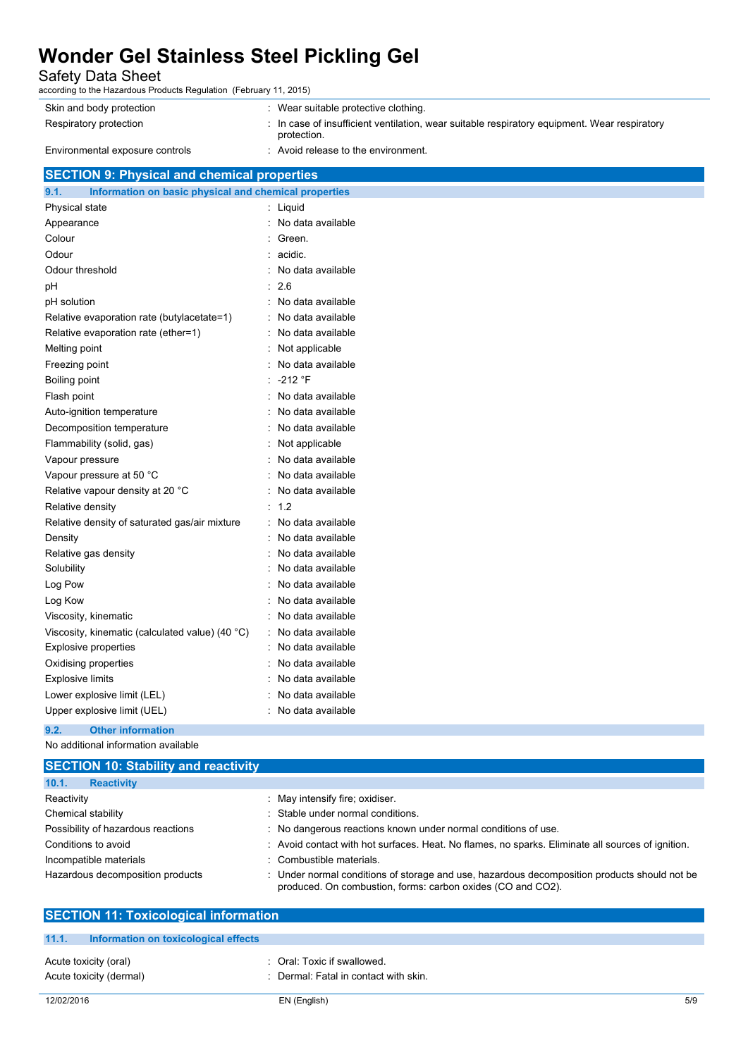Safety Data Sheet

| according to the Hazardous Products Regulation (February 11, 2015) |                                                                                                             |  |
|--------------------------------------------------------------------|-------------------------------------------------------------------------------------------------------------|--|
| Skin and body protection                                           | : Wear suitable protective clothing.                                                                        |  |
| Respiratory protection                                             | : In case of insufficient ventilation, wear suitable respiratory equipment. Wear respiratory<br>protection. |  |
| Environmental exposure controls                                    | : Avoid release to the environment.                                                                         |  |
| <b>SECTION 9: Physical and chemical properties</b>                 |                                                                                                             |  |
|                                                                    |                                                                                                             |  |

| Information on basic physical and chemical properties |
|-------------------------------------------------------|
| Liquid                                                |
| No data available                                     |
| Green.                                                |
| acidic.                                               |
| No data available                                     |
| 2.6                                                   |
| No data available                                     |
| No data available                                     |
| No data available                                     |
| Not applicable                                        |
| No data available                                     |
| $-212$ °F                                             |
| No data available                                     |
| No data available                                     |
| No data available                                     |
| Not applicable                                        |
| No data available                                     |
| No data available                                     |
| No data available                                     |
| 1.2                                                   |
| No data available                                     |
| No data available                                     |
| No data available                                     |
| No data available                                     |
| No data available                                     |
| No data available                                     |
| No data available                                     |
| No data available                                     |
| No data available                                     |
| No data available                                     |
| No data available                                     |
| No data available                                     |
| No data available                                     |
|                                                       |

#### **9.2. Other information**

No additional information available

| <b>SECTION 10: Stability and reactivity</b> |                                                                                                                                                           |
|---------------------------------------------|-----------------------------------------------------------------------------------------------------------------------------------------------------------|
| 10.1.<br><b>Reactivity</b>                  |                                                                                                                                                           |
| Reactivity                                  | : May intensify fire; oxidiser.                                                                                                                           |
| Chemical stability                          | Stable under normal conditions.                                                                                                                           |
| Possibility of hazardous reactions          | : No dangerous reactions known under normal conditions of use.                                                                                            |
| Conditions to avoid                         | : Avoid contact with hot surfaces. Heat. No flames, no sparks. Eliminate all sources of ignition.                                                         |
| Incompatible materials                      | Combustible materials.                                                                                                                                    |
| Hazardous decomposition products            | Under normal conditions of storage and use, hazardous decomposition products should not be<br>produced. On combustion, forms: carbon oxides (CO and CO2). |

| <b>SECTION 11: Toxicological information</b>  |                                       |  |
|-----------------------------------------------|---------------------------------------|--|
|                                               |                                       |  |
| 11.1.<br>Information on toxicological effects |                                       |  |
|                                               |                                       |  |
| Acute toxicity (oral)                         | : Oral: Toxic if swallowed.           |  |
| Acute toxicity (dermal)                       | : Dermal: Fatal in contact with skin. |  |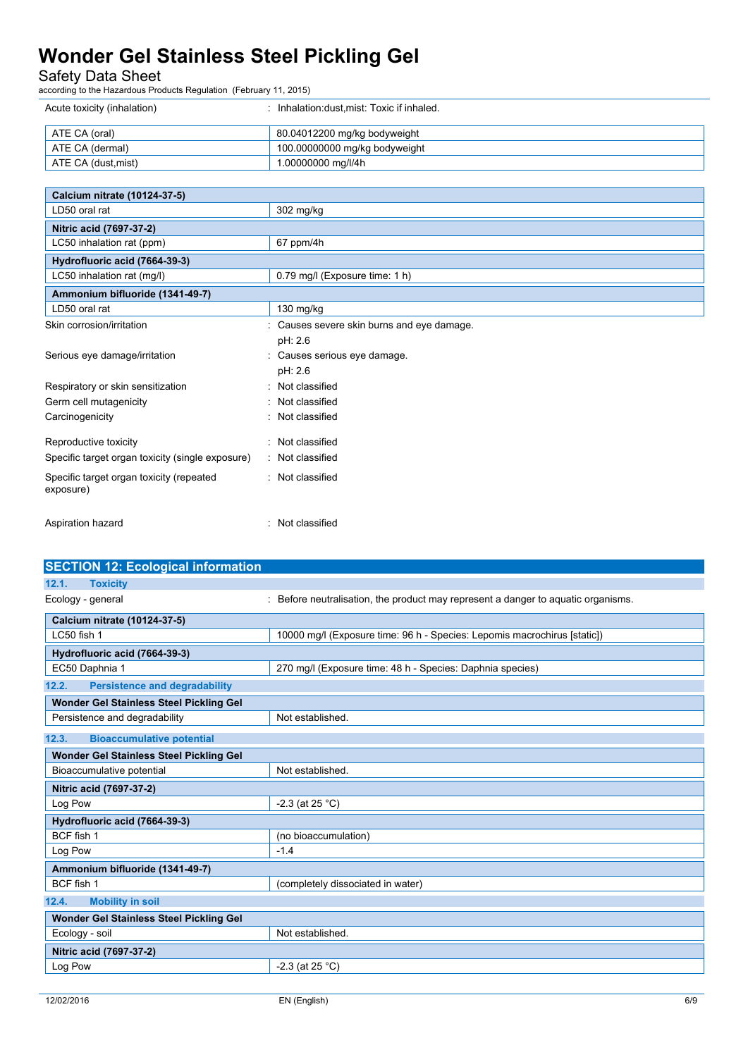#### Safety Data Sheet

| Acute toxicity (inhalation) | Inhalation:dust.mist: Toxic if inhaled. |
|-----------------------------|-----------------------------------------|
| ATE CA (oral)               | 80.04012200 mg/kg bodyweight            |
| ATE CA (dermal)             | 100.00000000 mg/kg bodyweight           |
| ATE CA (dust,mist)          | 1.00000000 mg/l/4h                      |

| Calcium nitrate (10124-37-5)                          |                                          |
|-------------------------------------------------------|------------------------------------------|
| LD50 oral rat                                         | 302 mg/kg                                |
| Nitric acid (7697-37-2)                               |                                          |
| LC50 inhalation rat (ppm)                             | $67$ ppm/4h                              |
| Hydrofluoric acid (7664-39-3)                         |                                          |
| LC50 inhalation rat (mg/l)                            | 0.79 mg/l (Exposure time: 1 h)           |
| Ammonium bifluoride (1341-49-7)                       |                                          |
| LD50 oral rat                                         | $130$ mg/kg                              |
| Skin corrosion/irritation                             | Causes severe skin burns and eye damage. |
|                                                       | pH: 2.6                                  |
| Serious eye damage/irritation                         | : Causes serious eye damage.             |
|                                                       | pH: 2.6                                  |
| Respiratory or skin sensitization                     | Not classified                           |
| Germ cell mutagenicity                                | Not classified                           |
| Carcinogenicity                                       | Not classified                           |
| Reproductive toxicity                                 | Not classified                           |
| Specific target organ toxicity (single exposure)      | : Not classified                         |
| Specific target organ toxicity (repeated<br>exposure) | : Not classified                         |
| Aspiration hazard                                     | : Not classified                         |

| <b>SECTION 12: Ecological information</b>     |                                                                                 |
|-----------------------------------------------|---------------------------------------------------------------------------------|
| <b>Toxicity</b><br>12.1.                      |                                                                                 |
| Ecology - general                             | Before neutralisation, the product may represent a danger to aquatic organisms. |
| Calcium nitrate (10124-37-5)                  |                                                                                 |
| LC50 fish 1                                   | 10000 mg/l (Exposure time: 96 h - Species: Lepomis macrochirus [static])        |
| Hydrofluoric acid (7664-39-3)                 |                                                                                 |
| EC50 Daphnia 1                                | 270 mg/l (Exposure time: 48 h - Species: Daphnia species)                       |
| <b>Persistence and degradability</b><br>12.2. |                                                                                 |
| Wonder Gel Stainless Steel Pickling Gel       |                                                                                 |
| Persistence and degradability                 | Not established.                                                                |
| 12.3.<br><b>Bioaccumulative potential</b>     |                                                                                 |
| Wonder Gel Stainless Steel Pickling Gel       |                                                                                 |
| Bioaccumulative potential                     | Not established.                                                                |
| Nitric acid (7697-37-2)                       |                                                                                 |
| Log Pow                                       | $-2.3$ (at 25 °C)                                                               |
| Hydrofluoric acid (7664-39-3)                 |                                                                                 |
| <b>BCF</b> fish 1                             | (no bioaccumulation)                                                            |
| Log Pow                                       | $-1.4$                                                                          |
| Ammonium bifluoride (1341-49-7)               |                                                                                 |
| BCF fish 1                                    | (completely dissociated in water)                                               |
| <b>Mobility in soil</b><br>12.4.              |                                                                                 |
| Wonder Gel Stainless Steel Pickling Gel       |                                                                                 |
| Ecology - soil                                | Not established.                                                                |
| Nitric acid (7697-37-2)                       |                                                                                 |
| Log Pow                                       | $-2.3$ (at 25 °C)                                                               |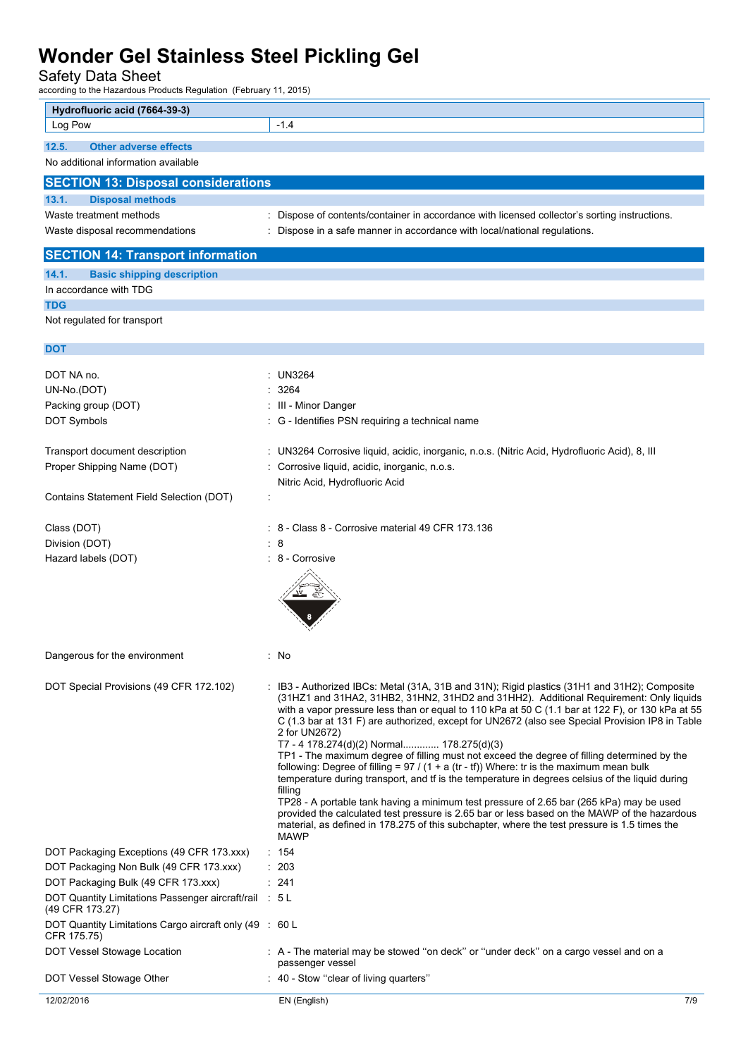Safety Data Sheet

| Hydrofluoric acid (7664-39-3)                                                  |                                                                                                                                                                                                     |
|--------------------------------------------------------------------------------|-----------------------------------------------------------------------------------------------------------------------------------------------------------------------------------------------------|
| Log Pow                                                                        | $-1.4$                                                                                                                                                                                              |
|                                                                                |                                                                                                                                                                                                     |
| 12.5.<br><b>Other adverse effects</b><br>No additional information available   |                                                                                                                                                                                                     |
|                                                                                |                                                                                                                                                                                                     |
| <b>SECTION 13: Disposal considerations</b>                                     |                                                                                                                                                                                                     |
| <b>Disposal methods</b><br>13.1.                                               |                                                                                                                                                                                                     |
| Waste treatment methods                                                        | Dispose of contents/container in accordance with licensed collector's sorting instructions.                                                                                                         |
| Waste disposal recommendations                                                 | Dispose in a safe manner in accordance with local/national regulations.                                                                                                                             |
| <b>SECTION 14: Transport information</b>                                       |                                                                                                                                                                                                     |
| 14.1.<br><b>Basic shipping description</b>                                     |                                                                                                                                                                                                     |
| In accordance with TDG                                                         |                                                                                                                                                                                                     |
| <b>TDG</b>                                                                     |                                                                                                                                                                                                     |
| Not regulated for transport                                                    |                                                                                                                                                                                                     |
|                                                                                |                                                                                                                                                                                                     |
| <b>DOT</b>                                                                     |                                                                                                                                                                                                     |
| DOT NA no.                                                                     | : UN3264                                                                                                                                                                                            |
| UN-No.(DOT)                                                                    | 3264                                                                                                                                                                                                |
| Packing group (DOT)                                                            | III - Minor Danger                                                                                                                                                                                  |
| <b>DOT Symbols</b>                                                             | : G - Identifies PSN requiring a technical name                                                                                                                                                     |
|                                                                                |                                                                                                                                                                                                     |
| Transport document description                                                 | : UN3264 Corrosive liquid, acidic, inorganic, n.o.s. (Nitric Acid, Hydrofluoric Acid), 8, III                                                                                                       |
| Proper Shipping Name (DOT)                                                     | Corrosive liquid, acidic, inorganic, n.o.s.                                                                                                                                                         |
|                                                                                | Nitric Acid, Hydrofluoric Acid                                                                                                                                                                      |
| Contains Statement Field Selection (DOT)                                       |                                                                                                                                                                                                     |
|                                                                                |                                                                                                                                                                                                     |
| Class (DOT)                                                                    | 8 - Class 8 - Corrosive material 49 CFR 173.136                                                                                                                                                     |
| Division (DOT)                                                                 | : 8                                                                                                                                                                                                 |
| Hazard labels (DOT)                                                            | : 8 - Corrosive                                                                                                                                                                                     |
|                                                                                |                                                                                                                                                                                                     |
|                                                                                |                                                                                                                                                                                                     |
|                                                                                |                                                                                                                                                                                                     |
|                                                                                |                                                                                                                                                                                                     |
|                                                                                | : No                                                                                                                                                                                                |
| Dangerous for the environment                                                  |                                                                                                                                                                                                     |
| DOT Special Provisions (49 CFR 172.102)                                        | : IB3 - Authorized IBCs: Metal (31A, 31B and 31N); Rigid plastics (31H1 and 31H2); Composite                                                                                                        |
|                                                                                | (31HZ1 and 31HA2, 31HB2, 31HN2, 31HD2 and 31HH2). Additional Requirement: Only liquids                                                                                                              |
|                                                                                | with a vapor pressure less than or equal to 110 kPa at 50 C (1.1 bar at 122 F), or 130 kPa at 55<br>C (1.3 bar at 131 F) are authorized, except for UN2672 (also see Special Provision IP8 in Table |
|                                                                                | 2 for UN2672)                                                                                                                                                                                       |
|                                                                                | T7 - 4 178.274(d)(2) Normal 178.275(d)(3)                                                                                                                                                           |
|                                                                                | TP1 - The maximum degree of filling must not exceed the degree of filling determined by the<br>following: Degree of filling = $97 / (1 + a (tr - tf))$ Where: tr is the maximum mean bulk           |
|                                                                                | temperature during transport, and tf is the temperature in degrees celsius of the liquid during                                                                                                     |
|                                                                                | filling<br>TP28 - A portable tank having a minimum test pressure of 2.65 bar (265 kPa) may be used                                                                                                  |
|                                                                                | provided the calculated test pressure is 2.65 bar or less based on the MAWP of the hazardous                                                                                                        |
|                                                                                | material, as defined in 178.275 of this subchapter, where the test pressure is 1.5 times the                                                                                                        |
|                                                                                | <b>MAWP</b>                                                                                                                                                                                         |
| DOT Packaging Exceptions (49 CFR 173.xxx)                                      | : 154                                                                                                                                                                                               |
| DOT Packaging Non Bulk (49 CFR 173.xxx)<br>DOT Packaging Bulk (49 CFR 173.xxx) | : 203<br>: 241                                                                                                                                                                                      |
| DOT Quantity Limitations Passenger aircraft/rail : 5 L                         |                                                                                                                                                                                                     |
| (49 CFR 173.27)                                                                |                                                                                                                                                                                                     |
| DOT Quantity Limitations Cargo aircraft only (49 : 60 L                        |                                                                                                                                                                                                     |
| CFR 175.75)                                                                    |                                                                                                                                                                                                     |
| DOT Vessel Stowage Location                                                    | : A - The material may be stowed "on deck" or "under deck" on a cargo vessel and on a<br>passenger vessel                                                                                           |
| DOT Vessel Stowage Other                                                       | : 40 - Stow "clear of living quarters"                                                                                                                                                              |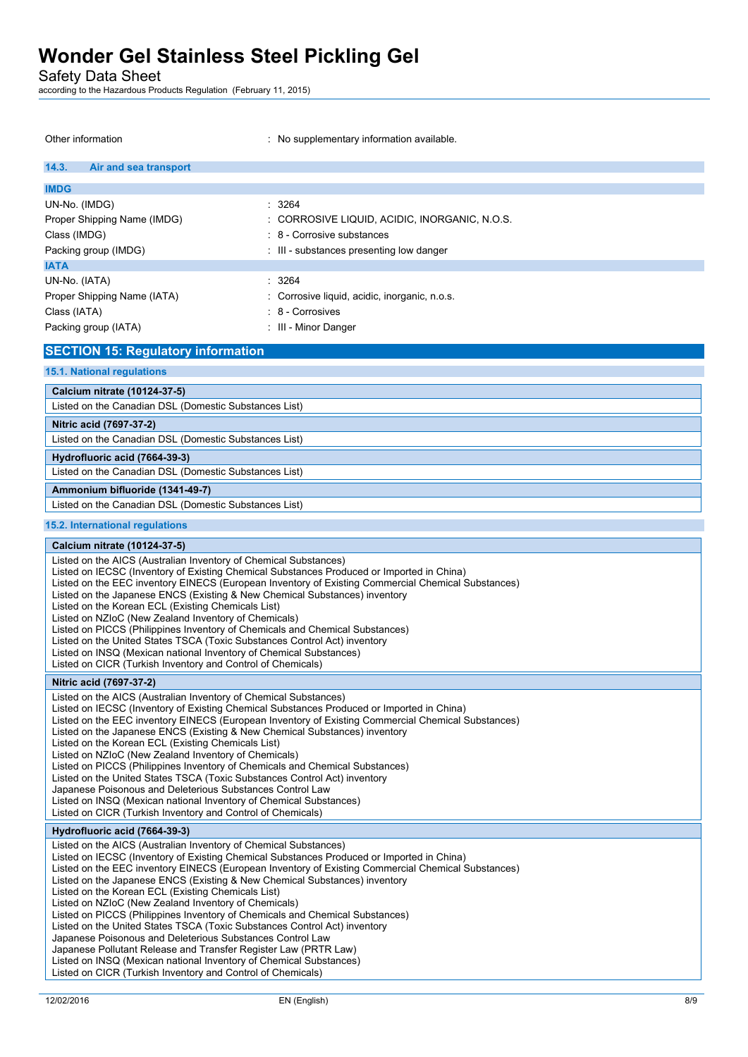Safety Data Sheet

| Other information                                                                                                                                         | : No supplementary information available.                                                          |
|-----------------------------------------------------------------------------------------------------------------------------------------------------------|----------------------------------------------------------------------------------------------------|
| 14.3.<br>Air and sea transport                                                                                                                            |                                                                                                    |
| <b>IMDG</b>                                                                                                                                               |                                                                                                    |
| UN-No. (IMDG)                                                                                                                                             | : 3264                                                                                             |
| Proper Shipping Name (IMDG)                                                                                                                               | : CORROSIVE LIQUID, ACIDIC, INORGANIC, N.O.S.                                                      |
| Class (IMDG)                                                                                                                                              | : 8 - Corrosive substances                                                                         |
| Packing group (IMDG)                                                                                                                                      | : III - substances presenting low danger                                                           |
| <b>IATA</b>                                                                                                                                               |                                                                                                    |
| UN-No. (IATA)                                                                                                                                             | $\therefore$ 3264                                                                                  |
| Proper Shipping Name (IATA)                                                                                                                               | : Corrosive liquid, acidic, inorganic, n.o.s.                                                      |
| Class (IATA)                                                                                                                                              | : 8 - Corrosives                                                                                   |
| Packing group (IATA)                                                                                                                                      | : III - Minor Danger                                                                               |
| <b>SECTION 15: Regulatory information</b>                                                                                                                 |                                                                                                    |
| <b>15.1. National regulations</b>                                                                                                                         |                                                                                                    |
| Calcium nitrate (10124-37-5)                                                                                                                              |                                                                                                    |
| Listed on the Canadian DSL (Domestic Substances List)                                                                                                     |                                                                                                    |
| Nitric acid (7697-37-2)                                                                                                                                   |                                                                                                    |
| Listed on the Canadian DSL (Domestic Substances List)                                                                                                     |                                                                                                    |
| Hydrofluoric acid (7664-39-3)                                                                                                                             |                                                                                                    |
| Listed on the Canadian DSL (Domestic Substances List)                                                                                                     |                                                                                                    |
| Ammonium bifluoride (1341-49-7)                                                                                                                           |                                                                                                    |
| Listed on the Canadian DSL (Domestic Substances List)                                                                                                     |                                                                                                    |
| 15.2. International regulations                                                                                                                           |                                                                                                    |
| Calcium nitrate (10124-37-5)                                                                                                                              |                                                                                                    |
| Listed on the AICS (Australian Inventory of Chemical Substances)                                                                                          |                                                                                                    |
| Listed on IECSC (Inventory of Existing Chemical Substances Produced or Imported in China)                                                                 | Listed on the EEC inventory EINECS (European Inventory of Existing Commercial Chemical Substances) |
| Listed on the Japanese ENCS (Existing & New Chemical Substances) inventory                                                                                |                                                                                                    |
| Listed on the Korean ECL (Existing Chemicals List)<br>Listed on NZIoC (New Zealand Inventory of Chemicals)                                                |                                                                                                    |
| Listed on PICCS (Philippines Inventory of Chemicals and Chemical Substances)                                                                              |                                                                                                    |
| Listed on the United States TSCA (Toxic Substances Control Act) inventory                                                                                 |                                                                                                    |
| Listed on INSQ (Mexican national Inventory of Chemical Substances)<br>Listed on CICR (Turkish Inventory and Control of Chemicals)                         |                                                                                                    |
| Nitric acid (7697-37-2)                                                                                                                                   |                                                                                                    |
| Listed on the AICS (Australian Inventory of Chemical Substances)                                                                                          |                                                                                                    |
| Listed on IECSC (Inventory of Existing Chemical Substances Produced or Imported in China)                                                                 |                                                                                                    |
| Listed on the Japanese ENCS (Existing & New Chemical Substances) inventory                                                                                | Listed on the EEC inventory EINECS (European Inventory of Existing Commercial Chemical Substances) |
| Listed on the Korean ECL (Existing Chemicals List)                                                                                                        |                                                                                                    |
| Listed on NZIoC (New Zealand Inventory of Chemicals)                                                                                                      |                                                                                                    |
| Listed on PICCS (Philippines Inventory of Chemicals and Chemical Substances)<br>Listed on the United States TSCA (Toxic Substances Control Act) inventory |                                                                                                    |
| Japanese Poisonous and Deleterious Substances Control Law                                                                                                 |                                                                                                    |
| Listed on INSQ (Mexican national Inventory of Chemical Substances)<br>Listed on CICR (Turkish Inventory and Control of Chemicals)                         |                                                                                                    |
| Hydrofluoric acid (7664-39-3)                                                                                                                             |                                                                                                    |
| Listed on the AICS (Australian Inventory of Chemical Substances)                                                                                          |                                                                                                    |
| Listed on IECSC (Inventory of Existing Chemical Substances Produced or Imported in China)                                                                 | Listed on the EEC inventory EINECS (European Inventory of Existing Commercial Chemical Substances) |
| Listed on the Japanese ENCS (Existing & New Chemical Substances) inventory                                                                                |                                                                                                    |
| Listed on the Korean ECL (Existing Chemicals List)                                                                                                        |                                                                                                    |
| Listed on NZIoC (New Zealand Inventory of Chemicals)<br>Listed on PICCS (Philippines Inventory of Chemicals and Chemical Substances)                      |                                                                                                    |
| Listed on the United States TSCA (Toxic Substances Control Act) inventory                                                                                 |                                                                                                    |
| Japanese Poisonous and Deleterious Substances Control Law<br>Japanese Pollutant Release and Transfer Register Law (PRTR Law)                              |                                                                                                    |
| Listed on INSQ (Mexican national Inventory of Chemical Substances)                                                                                        |                                                                                                    |
| Listed on CICR (Turkish Inventory and Control of Chemicals)                                                                                               |                                                                                                    |